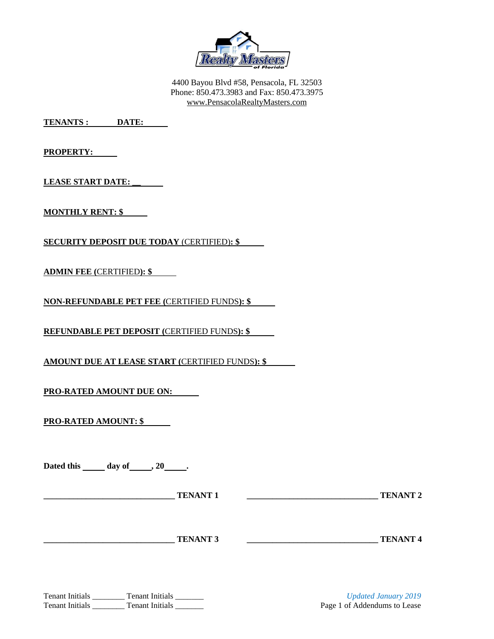

4400 Bayou Blvd #58, Pensacola, FL 32503 Phone: 850.473.3983 and Fax: 850.473.3975 [www.PensacolaRealtyMasters.com](http://www.pensacolarealtymasters.com/)

**TENANTS : DATE:**

**PROPERTY:** 

**LEASE START DATE: \_\_**

**MONTHLY RENT: \$**

**SECURITY DEPOSIT DUE TODAY** (CERTIFIED)**: \$**

**ADMIN FEE (**CERTIFIED**): \$**

**NON-REFUNDABLE PET FEE (**CERTIFIED FUNDS**): \$**

**REFUNDABLE PET DEPOSIT (**CERTIFIED FUNDS**): \$**

**AMOUNT DUE AT LEASE START (**CERTIFIED FUNDS**): \$** 

**PRO-RATED AMOUNT DUE ON:** 

**PRO-RATED AMOUNT: \$** 

Dated this \_\_\_\_\_\_ day of \_\_\_\_\_\_, 20 \_\_\_\_\_.

**\_\_\_\_\_\_\_\_\_\_\_\_\_\_\_\_\_\_\_\_\_\_\_\_\_\_\_\_\_\_\_ TENANT 1 \_\_\_\_\_\_\_\_\_\_\_\_\_\_\_\_\_\_\_\_\_\_\_\_\_\_\_\_\_\_\_ TENANT 2**

## **TENANT 3 TENANT 4**

Tenant Initials \_\_\_\_\_\_\_\_ Tenant Initials \_\_\_\_\_\_\_\_ *Updated January 2019* Tenant Initials Tenant Initials Tenant Initials Tenant Initials Page 1 of Addendums to Lease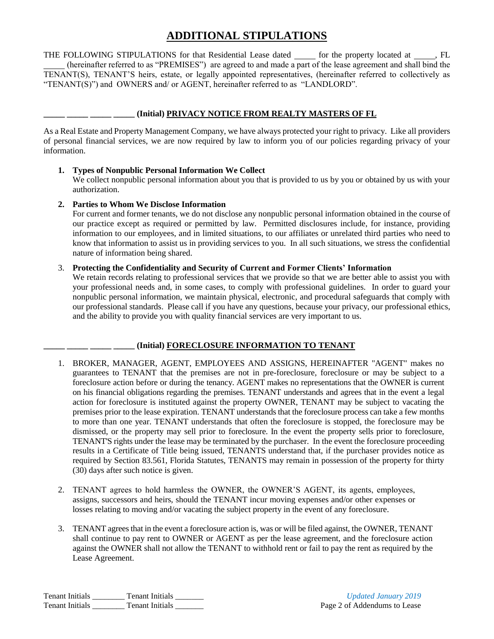# **ADDITIONAL STIPULATIONS**

THE FOLLOWING STIPULATIONS for that Residential Lease dated  $\_\_\_$  for the property located at  $\_\_\_\$  FL (hereinafter referred to as "PREMISES") are agreed to and made a part of the lease agreement and shall bind the TENANT(S), TENANT'S heirs, estate, or legally appointed representatives, (hereinafter referred to collectively as "TENANT(S)") and OWNERS and/ or AGENT, hereinafter referred to as "LANDLORD".

#### **\_\_\_\_\_ \_\_\_\_\_ \_\_\_\_\_ \_\_\_\_\_ (Initial) PRIVACY NOTICE FROM REALTY MASTERS OF FL**

As a Real Estate and Property Management Company, we have always protected your right to privacy. Like all providers of personal financial services, we are now required by law to inform you of our policies regarding privacy of your information.

#### **1. Types of Nonpublic Personal Information We Collect**

We collect nonpublic personal information about you that is provided to us by you or obtained by us with your authorization.

#### **2. Parties to Whom We Disclose Information**

For current and former tenants, we do not disclose any nonpublic personal information obtained in the course of our practice except as required or permitted by law. Permitted disclosures include, for instance, providing information to our employees, and in limited situations, to our affiliates or unrelated third parties who need to know that information to assist us in providing services to you. In all such situations, we stress the confidential nature of information being shared.

#### 3. **Protecting the Confidentiality and Security of Current and Former Clients' Information**

We retain records relating to professional services that we provide so that we are better able to assist you with your professional needs and, in some cases, to comply with professional guidelines. In order to guard your nonpublic personal information, we maintain physical, electronic, and procedural safeguards that comply with our professional standards. Please call if you have any questions, because your privacy, our professional ethics, and the ability to provide you with quality financial services are very important to us.

## **\_\_\_\_\_ \_\_\_\_\_ \_\_\_\_\_ \_\_\_\_\_ (Initial) FORECLOSURE INFORMATION TO TENANT**

- 1. BROKER, MANAGER, AGENT, EMPLOYEES AND ASSIGNS, HEREINAFTER "AGENT" makes no guarantees to TENANT that the premises are not in pre-foreclosure, foreclosure or may be subject to a foreclosure action before or during the tenancy. AGENT makes no representations that the OWNER is current on his financial obligations regarding the premises. TENANT understands and agrees that in the event a legal action for foreclosure is instituted against the property OWNER, TENANT may be subject to vacating the premises prior to the lease expiration. TENANT understands that the foreclosure process can take a few months to more than one year. TENANT understands that often the foreclosure is stopped, the foreclosure may be dismissed, or the property may sell prior to foreclosure. In the event the property sells prior to foreclosure, TENANT'S rights under the lease may be terminated by the purchaser. In the event the foreclosure proceeding results in a Certificate of Title being issued, TENANTS understand that, if the purchaser provides notice as required by Section 83.561, Florida Statutes, TENANTS may remain in possession of the property for thirty (30) days after such notice is given.
- 2. TENANT agrees to hold harmless the OWNER, the OWNER'S AGENT, its agents, employees, assigns, successors and heirs, should the TENANT incur moving expenses and/or other expenses or losses relating to moving and/or vacating the subject property in the event of any foreclosure.
- 3. TENANT agrees that in the event a foreclosure action is, was or will be filed against, the OWNER, TENANT shall continue to pay rent to OWNER or AGENT as per the lease agreement, and the foreclosure action against the OWNER shall not allow the TENANT to withhold rent or fail to pay the rent as required by the Lease Agreement.

Tenant Initials \_\_\_\_\_\_\_\_ Tenant Initials \_\_\_\_\_\_\_ *Updated January 2019* Tenant Initials Communication Channel Tenant Initials Communication Channel Page 2 of Addendums to Lease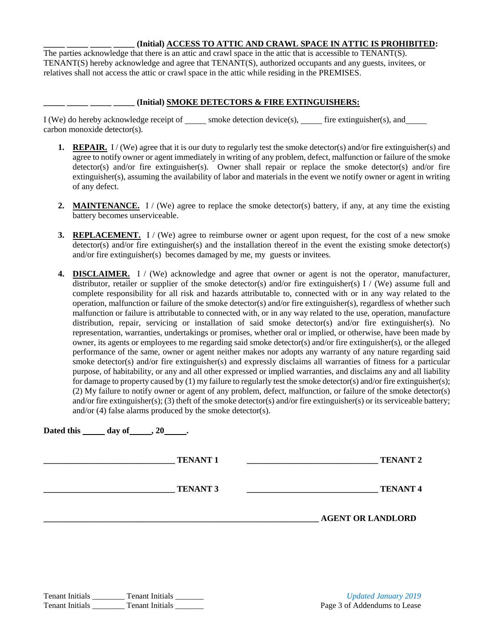#### **\_\_\_\_\_ \_\_\_\_\_ \_\_\_\_\_ \_\_\_\_\_ (Initial) ACCESS TO ATTIC AND CRAWL SPACE IN ATTIC IS PROHIBITED:**

The parties acknowledge that there is an attic and crawl space in the attic that is accessible to TENANT(S). TENANT(S) hereby acknowledge and agree that TENANT(S), authorized occupants and any guests, invitees, or relatives shall not access the attic or crawl space in the attic while residing in the PREMISES.

#### **\_\_\_\_\_ \_\_\_\_\_ \_\_\_\_\_ \_\_\_\_\_ (Initial) SMOKE DETECTORS & FIRE EXTINGUISHERS:**

 $I (We)$  do hereby acknowledge receipt of \_\_\_\_\_ smoke detection device(s), \_\_\_\_\_ fire extinguisher(s), and \_\_\_\_\_ carbon monoxide detector(s).

- **1. REPAIR.** I / (We) agree that it is our duty to regularly test the smoke detector(s) and/or fire extinguisher(s) and agree to notify owner or agent immediately in writing of any problem, defect, malfunction or failure of the smoke detector(s) and/or fire extinguisher(s). Owner shall repair or replace the smoke detector(s) and/or fire extinguisher(s), assuming the availability of labor and materials in the event we notify owner or agent in writing of any defect.
- **2. MAINTENANCE.** I / (We) agree to replace the smoke detector(s) battery, if any, at any time the existing battery becomes unserviceable.
- **3. REPLACEMENT.** I / (We) agree to reimburse owner or agent upon request, for the cost of a new smoke detector(s) and/or fire extinguisher(s) and the installation thereof in the event the existing smoke detector(s) and/or fire extinguisher(s) becomes damaged by me, my guests or invitees.
- **4. DISCLAIMER.** I / (We) acknowledge and agree that owner or agent is not the operator, manufacturer, distributor, retailer or supplier of the smoke detector(s) and/or fire extinguisher(s) I / (We) assume full and complete responsibility for all risk and hazards attributable to, connected with or in any way related to the operation, malfunction or failure of the smoke detector(s) and/or fire extinguisher(s), regardless of whether such malfunction or failure is attributable to connected with, or in any way related to the use, operation, manufacture distribution, repair, servicing or installation of said smoke detector(s) and/or fire extinguisher(s). No representation, warranties, undertakings or promises, whether oral or implied, or otherwise, have been made by owner, its agents or employees to me regarding said smoke detector(s) and/or fire extinguisher(s), or the alleged performance of the same, owner or agent neither makes nor adopts any warranty of any nature regarding said smoke detector(s) and/or fire extinguisher(s) and expressly disclaims all warranties of fitness for a particular purpose, of habitability, or any and all other expressed or implied warranties, and disclaims any and all liability for damage to property caused by (1) my failure to regularly test the smoke detector(s) and/or fire extinguisher(s); (2) My failure to notify owner or agent of any problem, defect, malfunction, or failure of the smoke detector(s) and/or fire extinguisher(s); (3) theft of the smoke detector(s) and/or fire extinguisher(s) or its serviceable battery; and/or (4) false alarms produced by the smoke detector(s).

| Dated this $\_\_\_$ day of $\_\_\_$ , 20 $\_\_\_$ . |  |                 |  |                          |  |
|-----------------------------------------------------|--|-----------------|--|--------------------------|--|
|                                                     |  | <b>TENANT 1</b> |  | <b>TENANT 2</b>          |  |
|                                                     |  | <b>TENANT 3</b> |  | <b>TENANT4</b>           |  |
|                                                     |  |                 |  | <b>AGENT OR LANDLORD</b> |  |
|                                                     |  |                 |  |                          |  |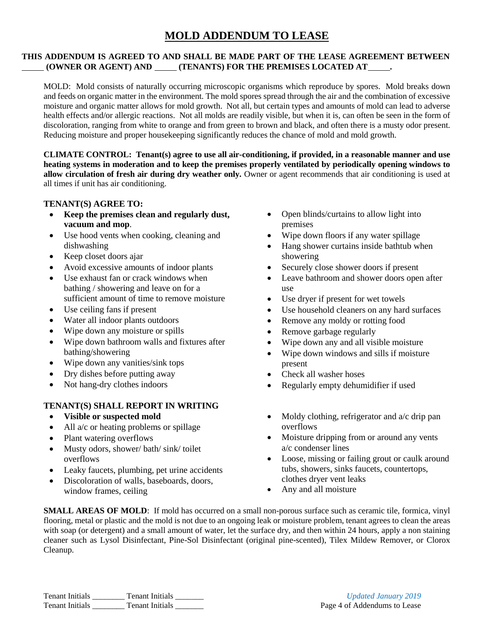## **MOLD ADDENDUM TO LEASE**

#### **THIS ADDENDUM IS AGREED TO AND SHALL BE MADE PART OF THE LEASE AGREEMENT BETWEEN (OWNER OR AGENT) AND (TENANTS) FOR THE PREMISES LOCATED AT .**

MOLD: Mold consists of naturally occurring microscopic organisms which reproduce by spores. Mold breaks down and feeds on organic matter in the environment. The mold spores spread through the air and the combination of excessive moisture and organic matter allows for mold growth. Not all, but certain types and amounts of mold can lead to adverse health effects and/or allergic reactions. Not all molds are readily visible, but when it is, can often be seen in the form of discoloration, ranging from white to orange and from green to brown and black, and often there is a musty odor present. Reducing moisture and proper housekeeping significantly reduces the chance of mold and mold growth.

**CLIMATE CONTROL: Tenant(s) agree to use all air-conditioning, if provided, in a reasonable manner and use heating systems in moderation and to keep the premises properly ventilated by periodically opening windows to allow circulation of fresh air during dry weather only.** Owner or agent recommends that air conditioning is used at all times if unit has air conditioning.

#### **TENANT(S) AGREE TO:**

- **Keep the premises clean and regularly dust, vacuum and mop**.
- Use hood vents when cooking, cleaning and dishwashing
- Keep closet doors ajar
- Avoid excessive amounts of indoor plants
- Use exhaust fan or crack windows when bathing / showering and leave on for a sufficient amount of time to remove moisture
- Use ceiling fans if present
- Water all indoor plants outdoors
- Wipe down any moisture or spills
- Wipe down bathroom walls and fixtures after bathing/showering
- Wipe down any vanities/sink tops
- Dry dishes before putting away
- Not hang-dry clothes indoors

## **TENANT(S) SHALL REPORT IN WRITING**

- **Visible or suspected mold**
- $\bullet$  All a/c or heating problems or spillage
- Plant watering overflows
- Musty odors, shower/ bath/ sink/ toilet overflows
- Leaky faucets, plumbing, pet urine accidents
- Discoloration of walls, baseboards, doors, window frames, ceiling
- Open blinds/curtains to allow light into premises
- Wipe down floors if any water spillage
- Hang shower curtains inside bathtub when showering
- Securely close shower doors if present
- Leave bathroom and shower doors open after use
- Use dryer if present for wet towels
- Use household cleaners on any hard surfaces
- Remove any moldy or rotting food
- Remove garbage regularly
- Wipe down any and all visible moisture
- Wipe down windows and sills if moisture present
- Check all washer hoses
- Regularly empty dehumidifier if used
- $\bullet$  Moldy clothing, refrigerator and a/c drip pan overflows
- Moisture dripping from or around any vents a/c condenser lines
- Loose, missing or failing grout or caulk around tubs, showers, sinks faucets, countertops, clothes dryer vent leaks
- Any and all moisture

**SMALL AREAS OF MOLD**: If mold has occurred on a small non-porous surface such as ceramic tile, formica, vinyl flooring, metal or plastic and the mold is not due to an ongoing leak or moisture problem, tenant agrees to clean the areas with soap (or detergent) and a small amount of water, let the surface dry, and then within 24 hours, apply a non staining cleaner such as Lysol Disinfectant, Pine-Sol Disinfectant (original pine-scented), Tilex Mildew Remover, or Clorox Cleanup.

Tenant Initials \_\_\_\_\_\_\_\_ Tenant Initials \_\_\_\_\_\_\_ *Updated January 2019* Tenant Initials \_\_\_\_\_\_\_\_ Tenant Initials \_\_\_\_\_\_\_ Page 4 of Addendums to Lease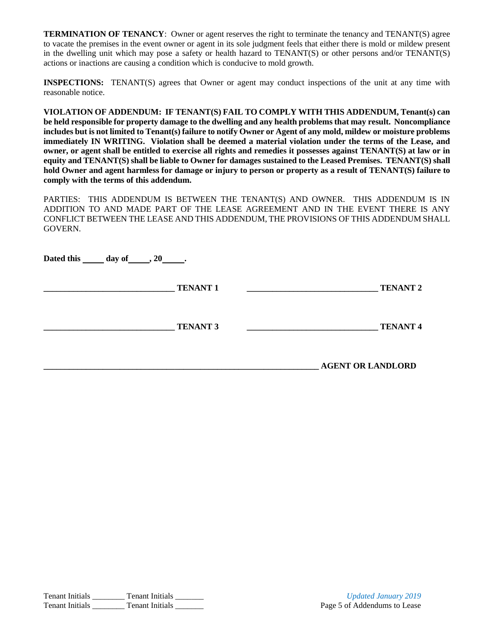**TERMINATION OF TENANCY**: Owner or agent reserves the right to terminate the tenancy and TENANT(S) agree to vacate the premises in the event owner or agent in its sole judgment feels that either there is mold or mildew present in the dwelling unit which may pose a safety or health hazard to TENANT(S) or other persons and/or TENANT(S) actions or inactions are causing a condition which is conducive to mold growth.

**INSPECTIONS:** TENANT(S) agrees that Owner or agent may conduct inspections of the unit at any time with reasonable notice.

**VIOLATION OF ADDENDUM: IF TENANT(S) FAIL TO COMPLY WITH THIS ADDENDUM, Tenant(s) can be held responsible for property damage to the dwelling and any health problems that may result. Noncompliance includes but is not limited to Tenant(s) failure to notify Owner or Agent of any mold, mildew or moisture problems immediately IN WRITING. Violation shall be deemed a material violation under the terms of the Lease, and owner, or agent shall be entitled to exercise all rights and remedies it possesses against TENANT(S) at law or in equity and TENANT(S) shall be liable to Owner for damages sustained to the Leased Premises. TENANT(S) shall hold Owner and agent harmless for damage or injury to person or property as a result of TENANT(S) failure to comply with the terms of this addendum.**

PARTIES: THIS ADDENDUM IS BETWEEN THE TENANT(S) AND OWNER. THIS ADDENDUM IS IN ADDITION TO AND MADE PART OF THE LEASE AGREEMENT AND IN THE EVENT THERE IS ANY CONFLICT BETWEEN THE LEASE AND THIS ADDENDUM, THE PROVISIONS OF THIS ADDENDUM SHALL GOVERN.

**Dated this \_\_\_\_\_\_\_ day of \_\_\_\_\_\_ , 20 .** 

**\_\_\_\_\_\_\_\_\_\_\_\_\_\_\_\_\_\_\_\_\_\_\_\_\_\_\_\_\_\_\_ TENANT 1 \_\_\_\_\_\_\_\_\_\_\_\_\_\_\_\_\_\_\_\_\_\_\_\_\_\_\_\_\_\_\_ TENANT 2**

**\_\_\_\_\_\_\_\_\_\_\_\_\_\_\_\_\_\_\_\_\_\_\_\_\_\_\_\_\_\_\_ TENANT 3 \_\_\_\_\_\_\_\_\_\_\_\_\_\_\_\_\_\_\_\_\_\_\_\_\_\_\_\_\_\_\_ TENANT 4**

**\_\_\_\_\_\_\_\_\_\_\_\_\_\_\_\_\_\_\_\_\_\_\_\_\_\_\_\_\_\_\_\_\_\_\_\_\_\_\_\_\_\_\_\_\_\_\_\_\_\_\_\_\_\_\_\_\_\_\_\_\_\_\_\_\_ AGENT OR LANDLORD**

Tenant Initials \_\_\_\_\_\_\_\_ Tenant Initials \_\_\_\_\_\_\_ *Updated January 2019* Tenant Initials Communication Channel Tenant Initials Communication Channel Page 5 of Addendums to Lease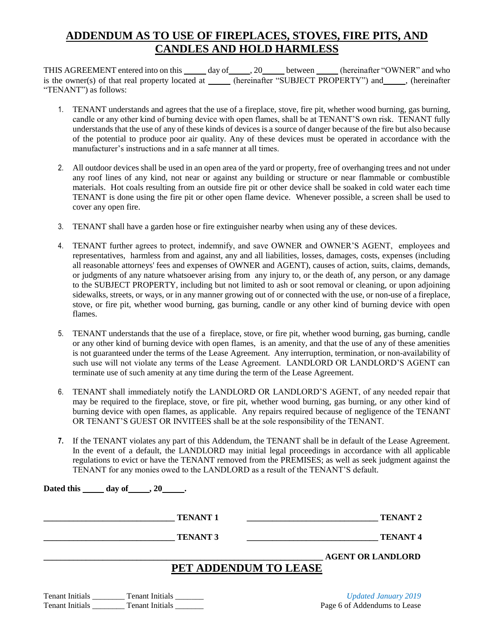# **ADDENDUM AS TO USE OF FIREPLACES, STOVES, FIRE PITS, AND CANDLES AND HOLD HARMLESS**

THIS AGREEMENT entered into on this  $\_\_\_\_$  day of  $\_\_\_$ , 20  $\_\_\_\_\_\_\_\_$  between  $\_\_\_\_\_\_$  (hereinafter "OWNER" and who is the owner(s) of that real property located at \_\_\_\_\_ (hereinafter "SUBJECT PROPERTY") and \_\_\_\_\_, (hereinafter "TENANT") as follows:

- 1. TENANT understands and agrees that the use of a fireplace, stove, fire pit, whether wood burning, gas burning, candle or any other kind of burning device with open flames, shall be at TENANT'S own risk. TENANT fully understands that the use of any of these kinds of devices is a source of danger because of the fire but also because of the potential to produce poor air quality. Any of these devices must be operated in accordance with the manufacturer's instructions and in a safe manner at all times.
- 2. All outdoor devices shall be used in an open area of the yard or property, free of overhanging trees and not under any roof lines of any kind, not near or against any building or structure or near flammable or combustible materials. Hot coals resulting from an outside fire pit or other device shall be soaked in cold water each time TENANT is done using the fire pit or other open flame device. Whenever possible, a screen shall be used to cover any open fire.
- 3. TENANT shall have a garden hose or fire extinguisher nearby when using any of these devices.
- 4. TENANT further agrees to protect, indemnify, and save OWNER and OWNER'S AGENT, employees and representatives, harmless from and against, any and all liabilities, losses, damages, costs, expenses (including all reasonable attorneys' fees and expenses of OWNER and AGENT), causes of action, suits, claims, demands, or judgments of any nature whatsoever arising from any injury to, or the death of, any person, or any damage to the SUBJECT PROPERTY, including but not limited to ash or soot removal or cleaning, or upon adjoining sidewalks, streets, or ways, or in any manner growing out of or connected with the use, or non-use of a fireplace, stove, or fire pit, whether wood burning, gas burning, candle or any other kind of burning device with open flames.
- 5. TENANT understands that the use of a fireplace, stove, or fire pit, whether wood burning, gas burning, candle or any other kind of burning device with open flames, is an amenity, and that the use of any of these amenities is not guaranteed under the terms of the Lease Agreement. Any interruption, termination, or non-availability of such use will not violate any terms of the Lease Agreement. LANDLORD OR LANDLORD'S AGENT can terminate use of such amenity at any time during the term of the Lease Agreement.
- 6. TENANT shall immediately notify the LANDLORD OR LANDLORD'S AGENT, of any needed repair that may be required to the fireplace, stove, or fire pit, whether wood burning, gas burning, or any other kind of burning device with open flames, as applicable. Any repairs required because of negligence of the TENANT OR TENANT'S GUEST OR INVITEES shall be at the sole responsibility of the TENANT.
- **7.** If the TENANT violates any part of this Addendum, the TENANT shall be in default of the Lease Agreement. In the event of a default, the LANDLORD may initial legal proceedings in accordance with all applicable regulations to evict or have the TENANT removed from the PREMISES; as well as seek judgment against the TENANT for any monies owed to the LANDLORD as a result of the TENANT'S default.

**Dated this \_\_\_\_\_\_\_ day of \_\_\_\_\_\_ , 20 .** 

**\_\_\_\_\_\_\_\_\_\_\_\_\_\_\_\_\_\_\_\_\_\_\_\_\_\_\_\_\_\_\_ TENANT 1 \_\_\_\_\_\_\_\_\_\_\_\_\_\_\_\_\_\_\_\_\_\_\_\_\_\_\_\_\_\_\_ TENANT 2**

**\_\_\_\_\_\_\_\_\_\_\_\_\_\_\_\_\_\_\_\_\_\_\_\_\_\_\_\_\_\_\_ TENANT 3 \_\_\_\_\_\_\_\_\_\_\_\_\_\_\_\_\_\_\_\_\_\_\_\_\_\_\_\_\_\_\_ TENANT 4**

**\_\_\_\_\_\_\_\_\_\_\_\_\_\_\_\_\_\_\_\_\_\_\_\_\_\_\_\_\_\_\_\_\_\_\_\_\_\_\_\_\_\_\_\_\_\_\_\_\_\_\_\_\_\_\_\_\_\_\_\_\_\_\_\_\_\_ AGENT OR LANDLORD**

# **PET ADDENDUM TO LEASE**

| <b>Tenant Initials</b> | <b>Tenant Initials</b> |
|------------------------|------------------------|
| <b>Tenant Initials</b> | <b>Tenant Initials</b> |

Updated January 2019 Page 6 of Addendums to Lease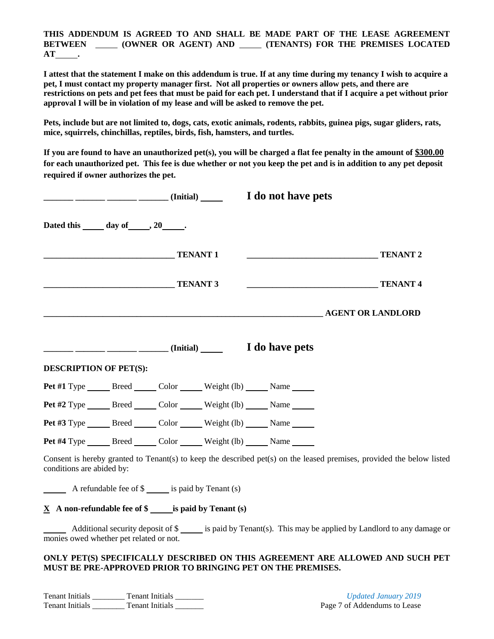**THIS ADDENDUM IS AGREED TO AND SHALL BE MADE PART OF THE LEASE AGREEMENT BETWEEN (OWNER OR AGENT) AND (TENANTS) FOR THE PREMISES LOCATED AT .**

**I attest that the statement I make on this addendum is true. If at any time during my tenancy I wish to acquire a pet, I must contact my property manager first. Not all properties or owners allow pets, and there are restrictions on pets and pet fees that must be paid for each pet. I understand that if I acquire a pet without prior approval I will be in violation of my lease and will be asked to remove the pet.** 

**Pets, include but are not limited to, dogs, cats, exotic animals, rodents, rabbits, guinea pigs, sugar gliders, rats, mice, squirrels, chinchillas, reptiles, birds, fish, hamsters, and turtles.** 

**If you are found to have an unauthorized pet(s), you will be charged a flat fee penalty in the amount of \$300.00 for each unauthorized pet. This fee is due whether or not you keep the pet and is in addition to any pet deposit required if owner authorizes the pet.** 

|                                                                                                                                                                                                                                                                                                                                                                                                                                   |                 | <u>__</u> ______ _____ _____ (Initial) ______ I do not have pets                      |                                                                                                                       |
|-----------------------------------------------------------------------------------------------------------------------------------------------------------------------------------------------------------------------------------------------------------------------------------------------------------------------------------------------------------------------------------------------------------------------------------|-----------------|---------------------------------------------------------------------------------------|-----------------------------------------------------------------------------------------------------------------------|
| Dated this ______ day of ______, 20______.                                                                                                                                                                                                                                                                                                                                                                                        |                 |                                                                                       |                                                                                                                       |
|                                                                                                                                                                                                                                                                                                                                                                                                                                   | <b>TENANT 1</b> |                                                                                       | <b>TENANT2</b>                                                                                                        |
|                                                                                                                                                                                                                                                                                                                                                                                                                                   | <b>TENANT 3</b> |                                                                                       | <b>TENANT4</b>                                                                                                        |
|                                                                                                                                                                                                                                                                                                                                                                                                                                   |                 |                                                                                       | <b>AGENT OR LANDLORD</b>                                                                                              |
|                                                                                                                                                                                                                                                                                                                                                                                                                                   |                 |                                                                                       |                                                                                                                       |
| <b>DESCRIPTION OF PET(S):</b>                                                                                                                                                                                                                                                                                                                                                                                                     |                 |                                                                                       |                                                                                                                       |
|                                                                                                                                                                                                                                                                                                                                                                                                                                   |                 | Pet #1 Type _______ Breed _______ Color _______ Weight (lb) ______ Name _______       |                                                                                                                       |
|                                                                                                                                                                                                                                                                                                                                                                                                                                   |                 | <b>Pet #2</b> Type _______ Breed _______ Color _______ Weight (lb) ______ Name ______ |                                                                                                                       |
|                                                                                                                                                                                                                                                                                                                                                                                                                                   |                 | Pet #3 Type _______ Breed _______ Color _______ Weight (lb) ______ Name _______       |                                                                                                                       |
|                                                                                                                                                                                                                                                                                                                                                                                                                                   |                 | Pet #4 Type _______ Breed _______ Color _______ Weight (lb) ______ Name ______        |                                                                                                                       |
| conditions are abided by:                                                                                                                                                                                                                                                                                                                                                                                                         |                 |                                                                                       | Consent is hereby granted to Tenant(s) to keep the described pet(s) on the leased premises, provided the below listed |
| $\frac{1}{\sqrt{1-\frac{1}{\sqrt{1-\frac{1}{\sqrt{1-\frac{1}{\sqrt{1-\frac{1}{\sqrt{1-\frac{1}{\sqrt{1-\frac{1}{\sqrt{1-\frac{1}{\sqrt{1-\frac{1}{\sqrt{1-\frac{1}{\sqrt{1-\frac{1}{\sqrt{1-\frac{1}{\sqrt{1-\frac{1}{\sqrt{1-\frac{1}{\sqrt{1-\frac{1}{\sqrt{1-\frac{1}{\sqrt{1-\frac{1}{\sqrt{1-\frac{1}{\sqrt{1-\frac{1}{\sqrt{1-\frac{1}{\sqrt{1-\frac{1}{\sqrt{1-\frac{1}{\sqrt{1-\frac{1}{\sqrt{1-\frac{1}{\sqrt{1-\frac{1$ |                 |                                                                                       |                                                                                                                       |
| $\underline{X}$ A non-refundable fee of $\S$ ______ is paid by Tenant (s)                                                                                                                                                                                                                                                                                                                                                         |                 |                                                                                       |                                                                                                                       |
| monies owed whether pet related or not.                                                                                                                                                                                                                                                                                                                                                                                           |                 |                                                                                       | Additional security deposit of \$<br>is paid by Tenant(s). This may be applied by Landlord to any damage or           |
|                                                                                                                                                                                                                                                                                                                                                                                                                                   |                 | MUST BE PRE-APPROVED PRIOR TO BRINGING PET ON THE PREMISES.                           | ONLY PET(S) SPECIFICALLY DESCRIBED ON THIS AGREEMENT ARE ALLOWED AND SUCH PET                                         |

Tenant Initials \_\_\_\_\_\_\_\_ Tenant Initials \_\_\_\_\_\_\_ *Updated January 2019* Tenant Initials \_\_\_\_\_\_\_\_ Tenant Initials \_\_\_\_\_\_\_\_ Page 7 of Addendums to Lease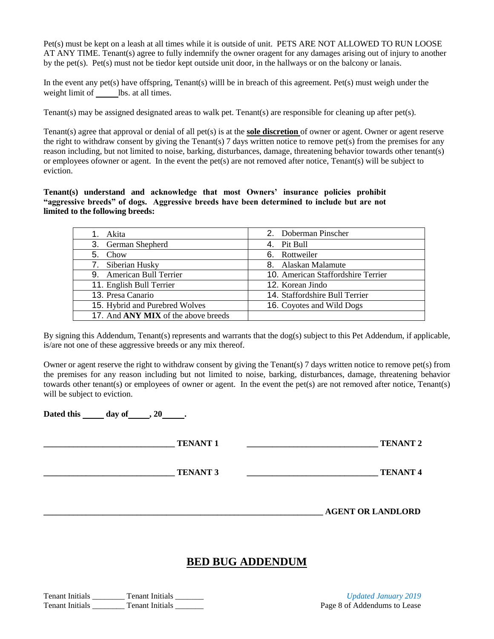Pet(s) must be kept on a leash at all times while it is outside of unit. PETS ARE NOT ALLOWED TO RUN LOOSE AT ANY TIME. Tenant(s) agree to fully indemnify the owner oragent for any damages arising out of injury to another by the pet(s). Pet(s) must not be tiedor kept outside unit door, in the hallways or on the balcony or lanais.

In the event any pet(s) have offspring, Tenant(s) willl be in breach of this agreement. Pet(s) must weigh under the weight limit of lbs. at all times.

Tenant(s) may be assigned designated areas to walk pet. Tenant(s) are responsible for cleaning up after pet(s).

Tenant(s) agree that approval or denial of all pet(s) is at the **sole discretion** of owner or agent. Owner or agent reserve the right to withdraw consent by giving the Tenant(s) 7 days written notice to remove pet(s) from the premises for any reason including, but not limited to noise, barking, disturbances, damage, threatening behavior towards other tenant(s) or employees ofowner or agent. In the event the pet(s) are not removed after notice, Tenant(s) will be subject to eviction.

**Tenant(s) understand and acknowledge that most Owners' insurance policies prohibit "aggressive breeds" of dogs. Aggressive breeds have been determined to include but are not limited to the following breeds:** 

| 1. Akita                                   | 2. Doberman Pinscher               |
|--------------------------------------------|------------------------------------|
| 3. German Shepherd                         | 4. Pit Bull                        |
| 5. Chow                                    | 6. Rottweiler                      |
| 7. Siberian Husky                          | 8. Alaskan Malamute                |
| 9. American Bull Terrier                   | 10. American Staffordshire Terrier |
| 11. English Bull Terrier                   | 12. Korean Jindo                   |
| 13. Presa Canario                          | 14. Staffordshire Bull Terrier     |
| 15. Hybrid and Purebred Wolves             | 16. Coyotes and Wild Dogs          |
| 17. And <b>ANY MIX</b> of the above breeds |                                    |

By signing this Addendum, Tenant(s) represents and warrants that the  $\log(s)$  subject to this Pet Addendum, if applicable, is/are not one of these aggressive breeds or any mix thereof.

Owner or agent reserve the right to withdraw consent by giving the Tenant(s) 7 days written notice to remove pet(s) from the premises for any reason including but not limited to noise, barking, disturbances, damage, threatening behavior towards other tenant(s) or employees of owner or agent. In the event the pet(s) are not removed after notice, Tenant(s) will be subject to eviction.

**Dated this day of , 20 .** 

**\_\_\_\_\_\_\_\_\_\_\_\_\_\_\_\_\_\_\_\_\_\_\_\_\_\_\_\_\_\_\_ TENANT 1 \_\_\_\_\_\_\_\_\_\_\_\_\_\_\_\_\_\_\_\_\_\_\_\_\_\_\_\_\_\_\_ TENANT 2**

**TENANT 3 TENANT 3 TENANT 4** 

**\_\_\_\_\_\_\_\_\_\_\_\_\_\_\_\_\_\_\_\_\_\_\_\_\_\_\_\_\_\_\_\_\_\_\_\_\_\_\_\_\_\_\_\_\_\_\_\_\_\_\_\_\_\_\_\_\_\_\_\_\_\_\_\_\_\_ AGENT OR LANDLORD**

## **BED BUG ADDENDUM**

Tenant Initials \_\_\_\_\_\_\_\_ Tenant Initials \_\_\_\_\_\_\_ *Updated January 2019* Tenant Initials Tenant Initials Tenant Initials and Tenant Initials Page 8 of Addendums to Lease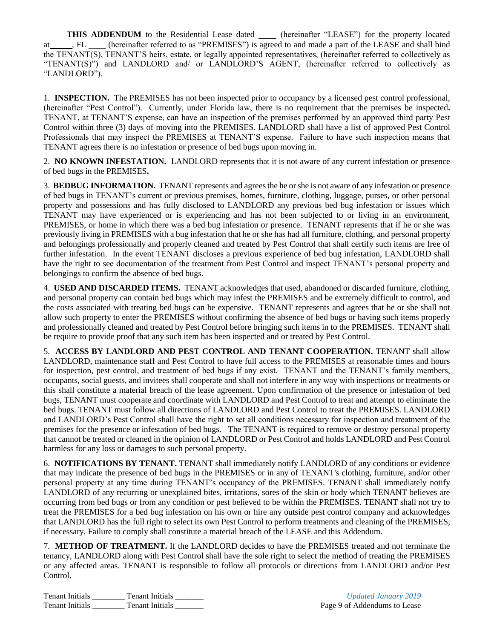THIS ADDENDUM to the Residential Lease dated \_\_\_\_\_ (hereinafter "LEASE") for the property located at , FL (hereinafter referred to as "PREMISES") is agreed to and made a part of the LEASE and shall bind the TENANT(S), TENANT'S heirs, estate, or legally appointed representatives, (hereinafter referred to collectively as "TENANT(S)") and LANDLORD and/ or LANDLORD'S AGENT, (hereinafter referred to collectively as "LANDLORD").

1. **INSPECTION.** The PREMISES has not been inspected prior to occupancy by a licensed pest control professional, (hereinafter "Pest Control"). Currently, under Florida law, there is no requirement that the premises be inspected**.**  TENANT, at TENANT'S expense, can have an inspection of the premises performed by an approved third party Pest Control within three (3) days of moving into the PREMISES. LANDLORD shall have a list of approved Pest Control Professionals that may inspect the PREMISES at TENANT'S expense. Failure to have such inspection means that TENANT agrees there is no infestation or presence of bed bugs upon moving in.

2. **NO KNOWN INFESTATION.** LANDLORD represents that it is not aware of any current infestation or presence of bed bugs in the PREMISES**.**

3. **BEDBUG INFORMATION.** TENANT represents and agrees the he or she is not aware of any infestation or presence of bed bugs in TENANT's current or previous premises, homes, furniture, clothing, luggage, purses, or other personal property and possessions and has fully disclosed to LANDLORD any previous bed bug infestation or issues which TENANT may have experienced or is experiencing and has not been subjected to or living in an environment, PREMISES, or home in which there was a bed bug infestation or presence. TENANT represents that if he or she was previously living in PREMISES with a bug infestation that he or she has had all furniture, clothing, and personal property and belongings professionally and properly cleaned and treated by Pest Control that shall certify such items are free of further infestation. In the event TENANT discloses a previous experience of bed bug infestation, LANDLORD shall have the right to see documentation of the treatment from Pest Control and inspect TENANT's personal property and belongings to confirm the absence of bed bugs.

4. **USED AND DISCARDED ITEMS.** TENANT acknowledges that used, abandoned or discarded furniture, clothing, and personal property can contain bed bugs which may infest the PREMISES and be extremely difficult to control, and the costs associated with treating bed bugs can be expensive. TENANT represents and agrees that he or she shall not allow such property to enter the PREMISES without confirming the absence of bed bugs or having such items properly and professionally cleaned and treated by Pest Control before bringing such items in to the PREMISES. TENANT shall be require to provide proof that any such item has been inspected and or treated by Pest Control.

5. **ACCESS BY LANDLORD AND PEST CONTROL AND TENANT COOPERATION.** TENANT shall allow LANDLORD, maintenance staff and Pest Control to have full access to the PREMISES at reasonable times and hours for inspection, pest control, and treatment of bed bugs if any exist. TENANT and the TENANT's family members, occupants, social guests, and invitees shall cooperate and shall not interfere in any way with inspections or treatments or this shall constitute a material breach of the lease agreement. Upon confirmation of the presence or infestation of bed bugs, TENANT must cooperate and coordinate with LANDLORD and Pest Control to treat and attempt to eliminate the bed bugs. TENANT must follow all directions of LANDLORD and Pest Control to treat the PREMISES. LANDLORD and LANDLORD's Pest Control shall have the right to set all conditions necessary for inspection and treatment of the premises for the presence or infestation of bed bugs. The TENANT is required to remove or destroy personal property that cannot be treated or cleaned in the opinion of LANDLORD or Pest Control and holds LANDLORD and Pest Control harmless for any loss or damages to such personal property.

6. **NOTIFICATIONS BY TENANT.** TENANT shall immediately notify LANDLORD of any conditions or evidence that may indicate the presence of bed bugs in the PREMISES or in any of TENANT's clothing, furniture, and/or other personal property at any time during TENANT's occupancy of the PREMISES. TENANT shall immediately notify LANDLORD of any recurring or unexplained bites, irritations, sores of the skin or body which TENANT believes are occurring from bed bugs or from any condition or pest believed to be within the PREMISES. TENANT shall not try to treat the PREMISES for a bed bug infestation on his own or hire any outside pest control company and acknowledges that LANDLORD has the full right to select its own Pest Control to perform treatments and cleaning of the PREMISES, if necessary. Failure to comply shall constitute a material breach of the LEASE and this Addendum.

7. **METHOD OF TREATMENT.** If the LANDLORD decides to have the PREMISES treated and not terminate the tenancy, LANDLORD along with Pest Control shall have the sole right to select the method of treating the PREMISES or any affected areas. TENANT is responsible to follow all protocols or directions from LANDLORD and/or Pest Control.

Tenant Initials \_\_\_\_\_\_\_\_ Tenant Initials \_\_\_\_\_\_\_ *Updated January 2019* Tenant Initials Communication Channel Tenant Initials Communication Channel Page 9 of Addendums to Lease